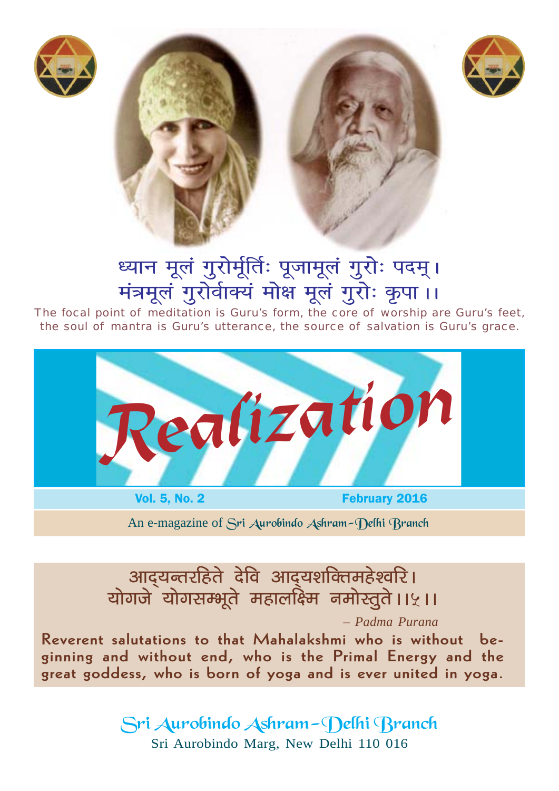





# ध्यान मूलं गुरोर्मूर्तिः पूजामूलं गुरोः पदम्। मंत्रमूलं गुरोर्वाक्यं मोक्षं मूलं गुरोः कृपा।।

*The focal point of meditation is Guru's form, the core of worship are Guru's feet, the soul of mantra is Guru's utterance, the source of salvation is Guru's grace.*



An e-magazine of Sri Aurobindo Ashram-Delhi Branch

आद्यन्तरहिते देवि आद्यशक्तिमहेश्वरि। योगजे योगसम्भूते महालक्ष्मि नमोस्तुते।।५।।

– *Padma Purana*

**Reverent salutations to that Mahalakshmi who is without beginning and without end, who is the Primal Energy and the great goddess, who is born of yoga and is ever united in yoga.**

> Sri Aurobindo Ashram-Delhi Branch Sri Aurobindo Marg, New Delhi 110 016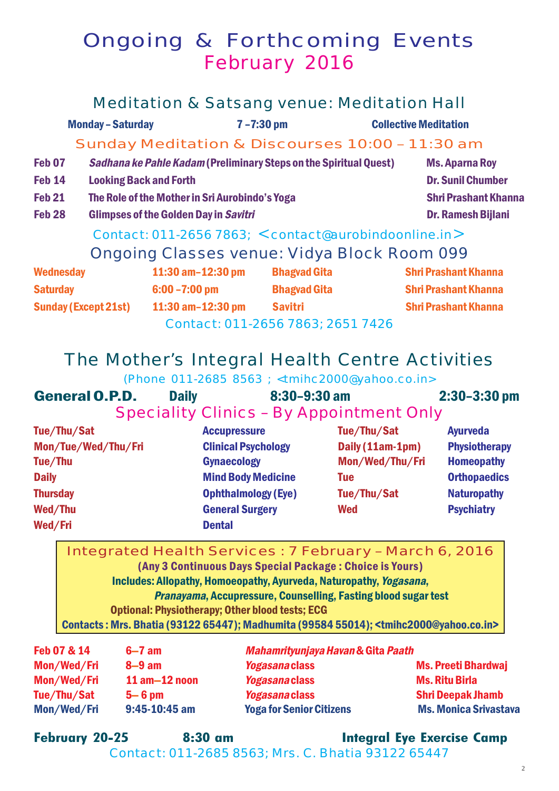## Ongoing & Forthcoming Events February 2016

|                                             |                                                                                   | Meditation & Satsang venue: Meditation Hall                              |                     |                             |                              |
|---------------------------------------------|-----------------------------------------------------------------------------------|--------------------------------------------------------------------------|---------------------|-----------------------------|------------------------------|
|                                             | <b>Monday - Saturday</b>                                                          |                                                                          | $7 - 7:30$ pm       |                             | <b>Collective Meditation</b> |
|                                             |                                                                                   | Sunday Meditation & Discourses 10:00 - 11:30 am                          |                     |                             |                              |
| <b>Feb 07</b>                               |                                                                                   | <b>Sadhana ke Pahle Kadam (Preliminary Steps on the Spiritual Quest)</b> |                     |                             | <b>Ms. Aparna Roy</b>        |
| <b>Feb 14</b>                               | <b>Looking Back and Forth</b>                                                     |                                                                          |                     |                             | <b>Dr. Sunil Chumber</b>     |
| <b>Feb 21</b>                               | The Role of the Mother in Sri Aurobindo's Yoga                                    |                                                                          |                     | <b>Shri Prashant Khanna</b> |                              |
| <b>Feb 28</b>                               | <b>Glimpses of the Golden Day in Savitri</b>                                      |                                                                          |                     | <b>Dr. Ramesh Bijlani</b>   |                              |
|                                             | Contact: 011-2656 7863; <contact@aurobindoonline.in></contact@aurobindoonline.in> |                                                                          |                     |                             |                              |
| Ongoing Classes venue: Vidya Block Room 099 |                                                                                   |                                                                          |                     |                             |                              |
| <b>Wednesday</b>                            |                                                                                   | 11:30 am-12:30 pm                                                        | <b>Bhagvad Gita</b> |                             | <b>Shri Prashant Khanna</b>  |
| <b>Saturday</b>                             |                                                                                   | $6:00 - 7:00$ pm                                                         | <b>Bhagvad Gita</b> |                             | <b>Shri Prashant Khanna</b>  |
| <b>Sunday (Except 21st)</b>                 |                                                                                   | 11:30 am-12:30 pm                                                        | <b>Savitri</b>      |                             | <b>Shri Prashant Khanna</b>  |
|                                             |                                                                                   | Contact: 011-2656 7863; 2651 7426                                        |                     |                             |                              |

## The Mother's Integral Health Centre Activities

(Phone 011-2685 8563  $\cdot$  /tmihc2000@yahoo.co.in>

| $\mu$ mone on zood obody summezoode junior.com/ |                     |                            |                                          |                      |  |
|-------------------------------------------------|---------------------|----------------------------|------------------------------------------|----------------------|--|
| <b>General O.P.D.</b>                           | <b>Daily</b>        | $8:30 - 9:30$ am           |                                          | $2:30-3:30$ pm       |  |
|                                                 |                     |                            | Speciality Clinics - By Appointment Only |                      |  |
| Tue/Thu/Sat                                     | <b>Accupressure</b> |                            | Tue/Thu/Sat                              | <b>Ayurveda</b>      |  |
| Mon/Tue/Wed/Thu/Fri                             |                     | <b>Clinical Psychology</b> | Daily (11am-1pm)                         | <b>Physiotherapy</b> |  |
| Tue/Thu                                         | <b>Gynaecology</b>  |                            | Mon/Wed/Thu/Fri                          | <b>Homeopathy</b>    |  |
| <b>Daily</b>                                    |                     | <b>Mind Body Medicine</b>  | <b>Tue</b>                               | <b>Orthopaedics</b>  |  |
| <b>Thursday</b>                                 |                     | <b>Ophthalmology (Eye)</b> | Tue/Thu/Sat                              | <b>Naturopathy</b>   |  |
| Wed/Thu                                         |                     | <b>General Surgery</b>     | <b>Wed</b>                               | <b>Psychiatry</b>    |  |

### Integrated Health Services : 7 February – March 6, 2016

(Any 3 Continuous Days Special Package : Choice is Yours) Includes: Allopathy, Homoeopathy, Ayurveda, Naturopathy, Yogasana, Pranayama, Accupressure, Counselling, Fasting blood sugar test Optional: Physiotherapy; Other blood tests; ECG Contacts : Mrs. Bhatia (93122 65447); Madhumita (99584 55014); <tmihc2000@yahoo.co.in>

Feb 07 & 14 6-7 am Mahamrityunjaya Havan & Gita Paath Mon/Wed/Fri 8–9 am *Yogasana* class Mon/Wed/Fri 8–9 am *Yogasana* class Ms. Preeti Bhardwai Mon/Wed/Fri 11 am–12 noon *Yogasana* class Ms. Ritu Birla Tue/Thu/Sat 5– 6 pm *Yogasana* class Shri Deepak Jhamb Mon/Wed/Fri 9:45-10:45 am Yoga for Senior Citizens Ms. Monica Srivastava

Wed/Fri Dental

February 20-25 8:30 am Integral Eye Exercise Camp Contact: 011-2685 8563; Mrs. C. Bhatia 93122 65447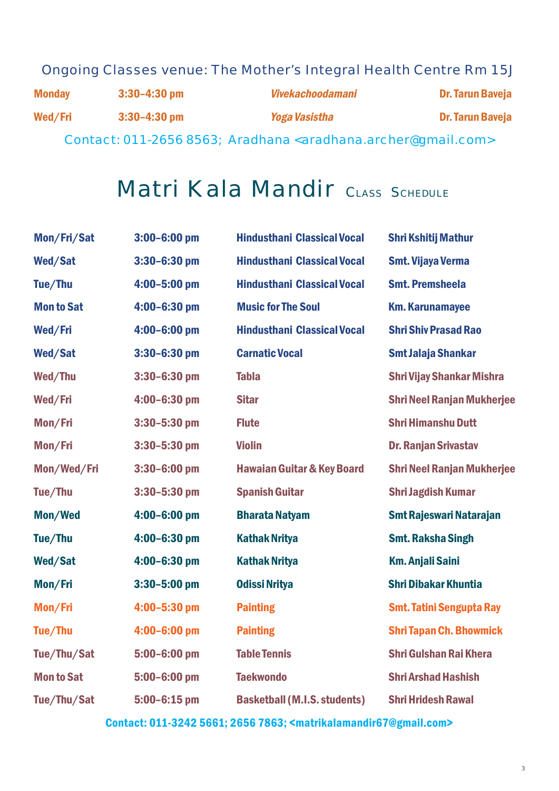## Ongoing Classes venue: The Mother's Integral Health Centre Rm 15J

| <b>Monday</b><br>$3:30-4:30$ pm |                | Vivekachoodamani                                                                         | <b>Dr. Tarun Baveja</b> |
|---------------------------------|----------------|------------------------------------------------------------------------------------------|-------------------------|
| Wed/Fri                         | $3:30-4:30$ pm | Yoga Vasistha                                                                            | <b>Dr. Tarun Baveja</b> |
|                                 |                | Contact: 011-2656 8563; Aradhana <aradhana.archer@gmail.com></aradhana.archer@gmail.com> |                         |

# Matri Kala Mandir CLASS SCHEDULE

| Mon/Fri/Sat       | $3:00 - 6:00$ pm | <b>Hindusthani Classical Vocal</b>    | <b>Shri Kshitij Mathur</b>        |
|-------------------|------------------|---------------------------------------|-----------------------------------|
| Wed/Sat           | $3:30 - 6:30$ pm | <b>Hindusthani Classical Vocal</b>    | <b>Smt. Vijaya Verma</b>          |
| Tue/Thu           | 4:00-5:00 pm     | <b>Hindusthani Classical Vocal</b>    | <b>Smt. Premsheela</b>            |
| <b>Mon to Sat</b> | 4:00-6:30 pm     | <b>Music for The Soul</b>             | <b>Km. Karunamayee</b>            |
| Wed/Fri           | $4:00 - 6:00$ pm | <b>Hindusthani Classical Vocal</b>    | <b>Shri Shiv Prasad Rao</b>       |
| Wed/Sat           | $3:30-6:30$ pm   | <b>Carnatic Vocal</b>                 | <b>Smt Jalaja Shankar</b>         |
| Wed/Thu           | 3:30-6:30 pm     | <b>Tabla</b>                          | <b>Shri Vijay Shankar Mishra</b>  |
| Wed/Fri           | 4:00-6:30 pm     | <b>Sitar</b>                          | <b>Shri Neel Ranjan Mukherjee</b> |
| Mon/Fri           | $3:30 - 5:30$ pm | <b>Flute</b>                          | <b>Shri Himanshu Dutt</b>         |
| Mon/Fri           | $3:30 - 5:30$ pm | <b>Violin</b>                         | <b>Dr. Ranjan Srivastav</b>       |
| Mon/Wed/Fri       | $3:30-6:00$ pm   | <b>Hawaian Guitar &amp; Key Board</b> | <b>Shri Neel Ranjan Mukherjee</b> |
| Tue/Thu           | $3:30 - 5:30$ pm | <b>Spanish Guitar</b>                 | <b>Shri Jagdish Kumar</b>         |
| Mon/Wed           | 4:00-6:00 pm     | <b>Bharata Natyam</b>                 | <b>Smt Rajeswari Natarajan</b>    |
| Tue/Thu           | 4:00-6:30 pm     | <b>Kathak Nritya</b>                  | <b>Smt. Raksha Singh</b>          |
| Wed/Sat           | 4:00-6:30 pm     | <b>Kathak Nritya</b>                  | <b>Km. Anjali Saini</b>           |
| Mon/Fri           | $3:30 - 5:00$ pm | <b>Odissi Nritya</b>                  | <b>Shri Dibakar Khuntia</b>       |
| Mon/Fri           | 4:00-5:30 pm     | <b>Painting</b>                       | <b>Smt. Tatini Sengupta Ray</b>   |
| Tue/Thu           | 4:00-6:00 pm     | <b>Painting</b>                       | <b>Shri Tapan Ch. Bhowmick</b>    |
| Tue/Thu/Sat       | $5:00 - 6:00$ pm | <b>Table Tennis</b>                   | <b>Shri Gulshan Rai Khera</b>     |
| <b>Mon to Sat</b> | $5:00 - 6:00$ pm | <b>Taekwondo</b>                      | <b>Shri Arshad Hashish</b>        |
| Tue/Thu/Sat       | $5:00 - 6:15$ pm | <b>Basketball (M.I.S. students)</b>   | <b>Shri Hridesh Rawal</b>         |

Contact: 011-3242 5661; 2656 7863; <matrikalamandir67@gmail.com>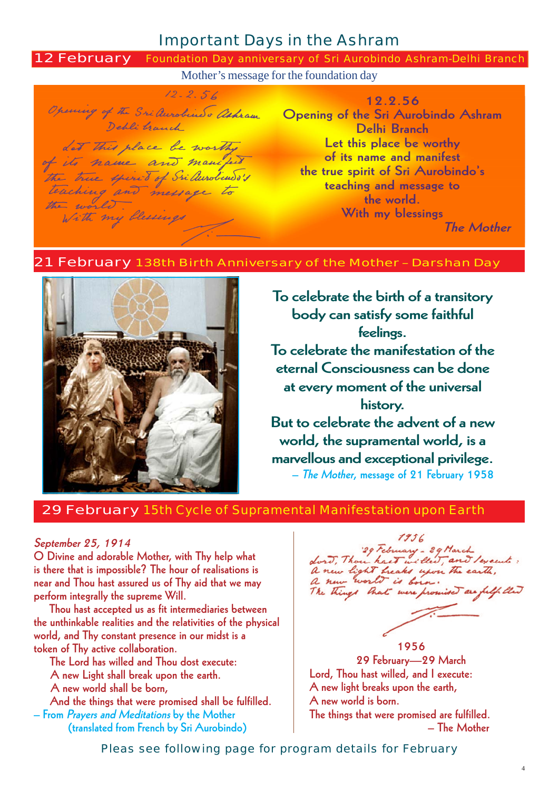### Important Days in the Ashram

#### 12 February Foundation Day anniversary of Sri Aurobindo Ashram-Delhi Branch Mother's message for the foundation day

**On 5th December 1950 at 1:26 a.m. Sri Aurobindo left his body and by On 5th December 1950 at a.m. Sri Aurobindo his body by** Opening of the Sri Aurobius o ashram **fresh and so magnificent, lif and so magnificent, lifting us from the pall of gloom to a mute wonder ting from the pall of gloom a wonder. This** det This place be worthy of its name and manifest of its name and unique more more more and unique more more more more more more more mo the true spirit of Sri Aurobindo's **the true spirit of** teaching and message to the world **. rosewood box and laid to rest in the Ashram courtyard under the cool shade of rosewood box and rest in the Ashram courtyard under the cool shade of the Ser the Service Tree. - - Nirod Baran Nirod 12.2.56 Opening of the Sri Aurobindo Ashram Delhi Branch Let this place be worthy of its name and manifest the true spirit of Sri Aurobindo's teaching and message to the world. With my blessings The Mother**

21 February 138th Birth Anniversary of the Mother – Darshan Day



**To celebrate the birth of a transitory body can satisfy some faithful feelings. To celebrate the manifestation of the eternal Consciousness can be done at every moment of the universal history. But to celebrate the advent of a new world, the supramental world, is a marvellous and exceptional privilege. – The Mother, message of 21 February 1958**

#### 29 February 15th Cycle of Supramental Manifestation upon Earth

#### **September 25, 1914**

**O Divine and adorable Mother, with Thy help what is there that is impossible? The hour of realisations is near and Thou hast assured us of Thy aid that we may perform integrally the supreme Will.**

 **Thou hast accepted us as fit intermediaries between the unthinkable realities and the relativities of the physical world, and Thy constant presence in our midst is a token of Thy active collaboration.**

 **The Lord has willed and Thou dost execute: A new Light shall break upon the earth. A new world shall be born, And the things that were promised shall be fulfilled. – From Prayers and Meditations by the Mother (translated from French by Sri Aurobindo)**

 $1956$ 29 February - 29 March<br>dord, Thou hast willed, and leveled: a new light heaks upon the earth, The Things that were promised are fully lead **1956 29 February—29 March Lord, Thou hast willed, and I execute: A new light breaks upon the earth, A new world is born. The things that were promised are fulfilled.**

 **– The Mother**

Pleas see following page for program details for February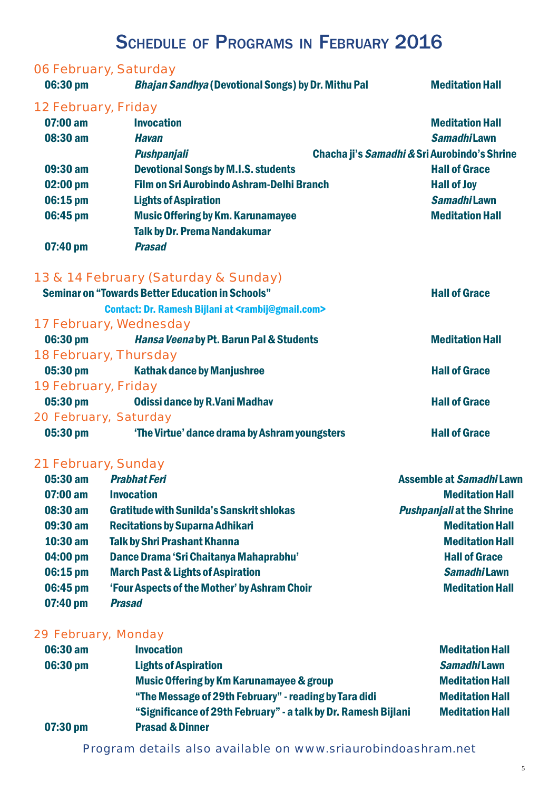## SCHEDULE OF PROGRAMS IN FEBRUARY 2016

| 06 February, Saturday |                                                                                                                                                                                                    |                                              |
|-----------------------|----------------------------------------------------------------------------------------------------------------------------------------------------------------------------------------------------|----------------------------------------------|
| 06:30 pm              | <b>Bhajan Sandhya (Devotional Songs) by Dr. Mithu Pal</b>                                                                                                                                          | <b>Meditation Hall</b>                       |
| 12 February, Friday   |                                                                                                                                                                                                    |                                              |
| 07:00 am              | <b>Invocation</b>                                                                                                                                                                                  | <b>Meditation Hall</b>                       |
| 08:30 am              | <b>Havan</b>                                                                                                                                                                                       | <b>SamadhiLawn</b>                           |
|                       | <b>Pushpanjali</b>                                                                                                                                                                                 | Chacha ji's Samadhi & Sri Aurobindo's Shrine |
| 09:30 am              | <b>Devotional Songs by M.I.S. students</b>                                                                                                                                                         | <b>Hall of Grace</b>                         |
| 02:00 pm              | Film on Sri Aurobindo Ashram-Delhi Branch                                                                                                                                                          | <b>Hall of Joy</b>                           |
| 06:15 pm              | <b>Lights of Aspiration</b>                                                                                                                                                                        | <b>SamadhiLawn</b>                           |
| 06:45 pm              | <b>Music Offering by Km. Karunamayee</b>                                                                                                                                                           | <b>Meditation Hall</b>                       |
|                       | <b>Talk by Dr. Prema Nandakumar</b>                                                                                                                                                                |                                              |
| 07:40 pm              | <b>Prasad</b>                                                                                                                                                                                      |                                              |
|                       | 13 & 14 February (Saturday & Sunday)<br><b>Seminar on "Towards Better Education in Schools"</b><br>Contact: Dr. Ramesh Bijlani at <rambij@gmail.com><br/>17 February, Wednesday</rambij@gmail.com> | <b>Hall of Grace</b>                         |
| 06:30 pm              | Hansa Veena by Pt. Barun Pal & Students                                                                                                                                                            | <b>Meditation Hall</b>                       |
| 18 February, Thursday |                                                                                                                                                                                                    |                                              |
| 05:30 pm              | <b>Kathak dance by Manjushree</b>                                                                                                                                                                  | <b>Hall of Grace</b>                         |
| 19 February, Friday   |                                                                                                                                                                                                    |                                              |
| 05:30 pm              | <b>Odissi dance by R.Vani Madhav</b>                                                                                                                                                               | <b>Hall of Grace</b>                         |
| 20 February, Saturday |                                                                                                                                                                                                    |                                              |
| 05:30 pm              | 'The Virtue' dance drama by Ashram youngsters                                                                                                                                                      | <b>Hall of Grace</b>                         |
| 21 February, Sunday   |                                                                                                                                                                                                    |                                              |
| 05:30 am              | <b>Prabhat Feri</b>                                                                                                                                                                                | <b>Assemble at Samadhi Lawn</b>              |
| 07:00 am              | <b>Invocation</b>                                                                                                                                                                                  | <b>Meditation Hall</b>                       |

| 07:00 am | <b>Invocation</b>                                | <b>Meditation Hall</b>           |
|----------|--------------------------------------------------|----------------------------------|
| 08:30 am | <b>Gratitude with Sunilda's Sanskrit shlokas</b> | <b>Pushpanjali at the Shrine</b> |
| 09:30 am | <b>Recitations by Suparna Adhikari</b>           | <b>Meditation Hall</b>           |
| 10:30 am | <b>Talk by Shri Prashant Khanna</b>              | <b>Meditation Hall</b>           |
| 04:00 pm | Dance Drama 'Sri Chaitanya Mahaprabhu'           | <b>Hall of Grace</b>             |
| 06:15 pm | <b>March Past &amp; Lights of Aspiration</b>     | Samadhi Lawn                     |
| 06:45 pm | 'Four Aspects of the Mother' by Ashram Choir     | <b>Meditation Hall</b>           |
| 07:40 pm | <b>Prasad</b>                                    |                                  |

### 29 February, Monday

| 06:30 am | <b>Invocation</b>                                              | <b>Meditation Hall</b> |
|----------|----------------------------------------------------------------|------------------------|
| 06:30 pm | <b>Lights of Aspiration</b>                                    | <b>SamadhiLawn</b>     |
|          | <b>Music Offering by Km Karunamayee &amp; group</b>            | <b>Meditation Hall</b> |
|          | "The Message of 29th February" - reading by Tara didi          | <b>Meditation Hall</b> |
|          | "Significance of 29th February" - a talk by Dr. Ramesh Bijlani | <b>Meditation Hall</b> |
| 07:30 pm | <b>Prasad &amp; Dinner</b>                                     |                        |

Program details also available on www.sriaurobindoashram.net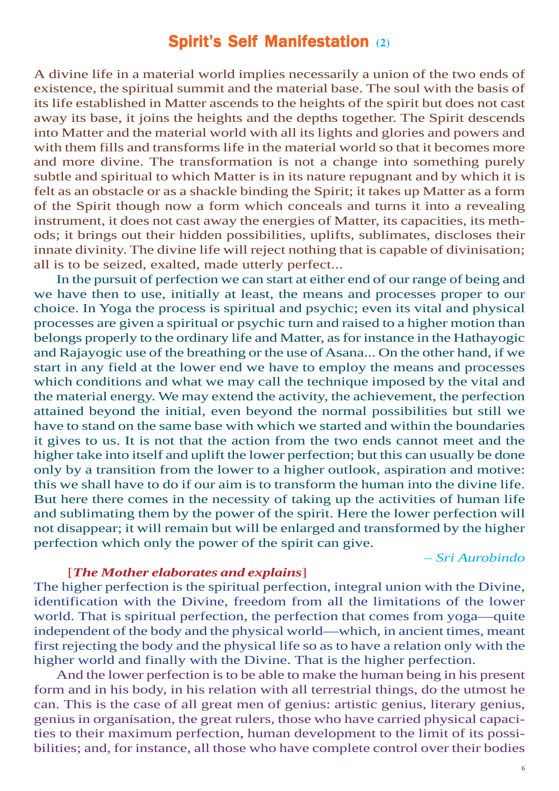### **Spirit's Self Manifestation (2)**

A divine life in a material world implies necessarily a union of the two ends of existence, the spiritual summit and the material base. The soul with the basis of its life established in Matter ascends to the heights of the spirit but does not cast away its base, it joins the heights and the depths together. The Spirit descends into Matter and the material world with all its lights and glories and powers and with them fills and transforms life in the material world so that it becomes more and more divine. The transformation is not a change into something purely subtle and spiritual to which Matter is in its nature repugnant and by which it is felt as an obstacle or as a shackle binding the Spirit; it takes up Matter as a form of the Spirit though now a form which conceals and turns it into a revealing instrument, it does not cast away the energies of Matter, its capacities, its methods; it brings out their hidden possibilities, uplifts, sublimates, discloses their innate divinity. The divine life will reject nothing that is capable of divinisation; all is to be seized, exalted, made utterly perfect...

In the pursuit of perfection we can start at either end of our range of being and we have then to use, initially at least, the means and processes proper to our choice. In Yoga the process is spiritual and psychic; even its vital and physical processes are given a spiritual or psychic turn and raised to a higher motion than belongs properly to the ordinary life and Matter, as for instance in the Hathayogic and Rajayogic use of the breathing or the use of Asana... On the other hand, if we start in any field at the lower end we have to employ the means and processes which conditions and what we may call the technique imposed by the vital and the material energy. We may extend the activity, the achievement, the perfection attained beyond the initial, even beyond the normal possibilities but still we have to stand on the same base with which we started and within the boundaries it gives to us. It is not that the action from the two ends cannot meet and the higher take into itself and uplift the lower perfection; but this can usually be done only by a transition from the lower to a higher outlook, aspiration and motive: this we shall have to do if our aim is to transform the human into the divine life. But here there comes in the necessity of taking up the activities of human life and sublimating them by the power of the spirit. Here the lower perfection will not disappear; it will remain but will be enlarged and transformed by the higher perfection which only the power of the spirit can give.

– *Sri Aurobindo*

#### [*The Mother elaborates and explains*]

The higher perfection is the spiritual perfection, integral union with the Divine, identification with the Divine, freedom from all the limitations of the lower world. That is spiritual perfection, the perfection that comes from yoga—quite independent of the body and the physical world—which, in ancient times, meant first rejecting the body and the physical life so as to have a relation only with the higher world and finally with the Divine. That is the higher perfection.

And the lower perfection is to be able to make the human being in his present form and in his body, in his relation with all terrestrial things, do the utmost he can. This is the case of all great men of genius: artistic genius, literary genius, genius in organisation, the great rulers, those who have carried physical capacities to their maximum perfection, human development to the limit of its possibilities; and, for instance, all those who have complete control over their bodies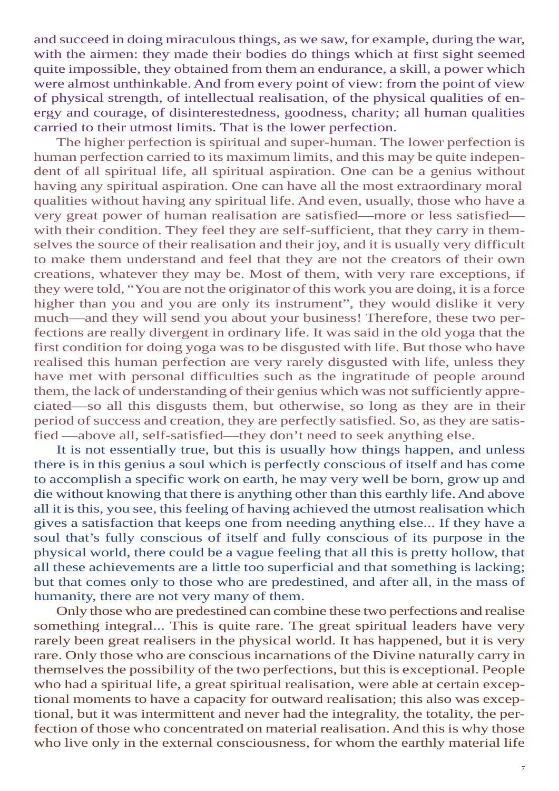and succeed in doing miraculous things, as we saw, for example, during the war, with the airmen: they made their bodies do things which at first sight seemed quite impossible, they obtained from them an endurance, a skill, a power which were almost unthinkable. And from every point of view: from the point of view of physical strength, of intellectual realisation, of the physical qualities of energy and courage, of disinterestedness, goodness, charity; all human qualities carried to their utmost limits. That is the lower perfection.

The higher perfection is spiritual and super-human. The lower perfection is human perfection carried to its maximum limits, and this may be quite independent of all spiritual life, all spiritual aspiration. One can be a genius without having any spiritual aspiration. One can have all the most extraordinary moral qualities without having any spiritual life. And even, usually, those who have a very great power of human realisation are satisfied—more or less satisfied with their condition. They feel they are self-sufficient, that they carry in themselves the source of their realisation and their joy, and it is usually very difficult to make them understand and feel that they are not the creators of their own creations, whatever they may be. Most of them, with very rare exceptions, if they were told, "You are not the originator of this work you are doing, it is a force higher than you and you are only its instrument", they would dislike it very much—and they will send you about your business! Therefore, these two perfections are really divergent in ordinary life. It was said in the old yoga that the first condition for doing yoga was to be disgusted with life. But those who have realised this human perfection are very rarely disgusted with life, unless they have met with personal difficulties such as the ingratitude of people around them, the lack of understanding of their genius which was not sufficiently appreciated—so all this disgusts them, but otherwise, so long as they are in their period of success and creation, they are perfectly satisfied. So, as they are satisfied —above all, self-satisfied—they don't need to seek anything else.

It is not essentially true, but this is usually how things happen, and unless there is in this genius a soul which is perfectly conscious of itself and has come to accomplish a specific work on earth, he may very well be born, grow up and die without knowing that there is anything other than this earthly life. And above all it is this, you see, this feeling of having achieved the utmost realisation which gives a satisfaction that keeps one from needing anything else... If they have a soul that's fully conscious of itself and fully conscious of its purpose in the physical world, there could be a vague feeling that all this is pretty hollow, that all these achievements are a little too superficial and that something is lacking; but that comes only to those who are predestined, and after all, in the mass of humanity, there are not very many of them.

Only those who are predestined can combine these two perfections and realise something integral... This is quite rare. The great spiritual leaders have very rarely been great realisers in the physical world. It has happened, but it is very rare. Only those who are conscious incarnations of the Divine naturally carry in themselves the possibility of the two perfections, but this is exceptional. People who had a spiritual life, a great spiritual realisation, were able at certain exceptional moments to have a capacity for outward realisation; this also was exceptional, but it was intermittent and never had the integrality, the totality, the perfection of those who concentrated on material realisation. And this is why those who live only in the external consciousness, for whom the earthly material life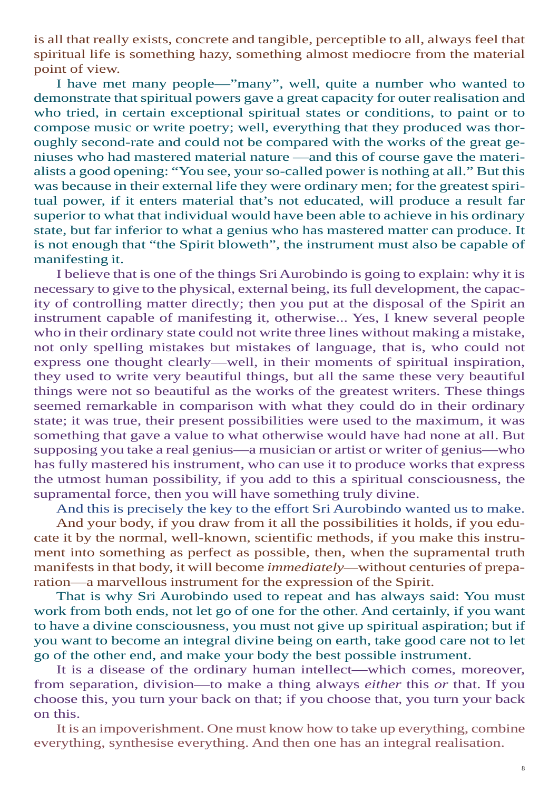is all that really exists, concrete and tangible, perceptible to all, always feel that spiritual life is something hazy, something almost mediocre from the material point of view.

I have met many people—"many", well, quite a number who wanted to demonstrate that spiritual powers gave a great capacity for outer realisation and who tried, in certain exceptional spiritual states or conditions, to paint or to compose music or write poetry; well, everything that they produced was thoroughly second-rate and could not be compared with the works of the great geniuses who had mastered material nature —and this of course gave the materialists a good opening: "You see, your so-called power is nothing at all." But this was because in their external life they were ordinary men; for the greatest spiritual power, if it enters material that's not educated, will produce a result far superior to what that individual would have been able to achieve in his ordinary state, but far inferior to what a genius who has mastered matter can produce. It is not enough that "the Spirit bloweth", the instrument must also be capable of manifesting it.

I believe that is one of the things Sri Aurobindo is going to explain: why it is necessary to give to the physical, external being, its full development, the capacity of controlling matter directly; then you put at the disposal of the Spirit an instrument capable of manifesting it, otherwise... Yes, I knew several people who in their ordinary state could not write three lines without making a mistake, not only spelling mistakes but mistakes of language, that is, who could not express one thought clearly—well, in their moments of spiritual inspiration, they used to write very beautiful things, but all the same these very beautiful things were not so beautiful as the works of the greatest writers. These things seemed remarkable in comparison with what they could do in their ordinary state; it was true, their present possibilities were used to the maximum, it was something that gave a value to what otherwise would have had none at all. But supposing you take a real genius—a musician or artist or writer of genius—who has fully mastered his instrument, who can use it to produce works that express the utmost human possibility, if you add to this a spiritual consciousness, the supramental force, then you will have something truly divine.

And this is precisely the key to the effort Sri Aurobindo wanted us to make. And your body, if you draw from it all the possibilities it holds, if you educate it by the normal, well-known, scientific methods, if you make this instrument into something as perfect as possible, then, when the supramental truth manifests in that body, it will become *immediately—*without centuries of preparation—a marvellous instrument for the expression of the Spirit.

That is why Sri Aurobindo used to repeat and has always said: You must work from both ends, not let go of one for the other. And certainly, if you want to have a divine consciousness, you must not give up spiritual aspiration; but if you want to become an integral divine being on earth, take good care not to let go of the other end, and make your body the best possible instrument.

It is a disease of the ordinary human intellect—which comes, moreover, from separation, division—to make a thing always *either* this *or* that. If you choose this, you turn your back on that; if you choose that, you turn your back on this.

It is an impoverishment. One must know how to take up everything, combine everything, synthesise everything. And then one has an integral realisation.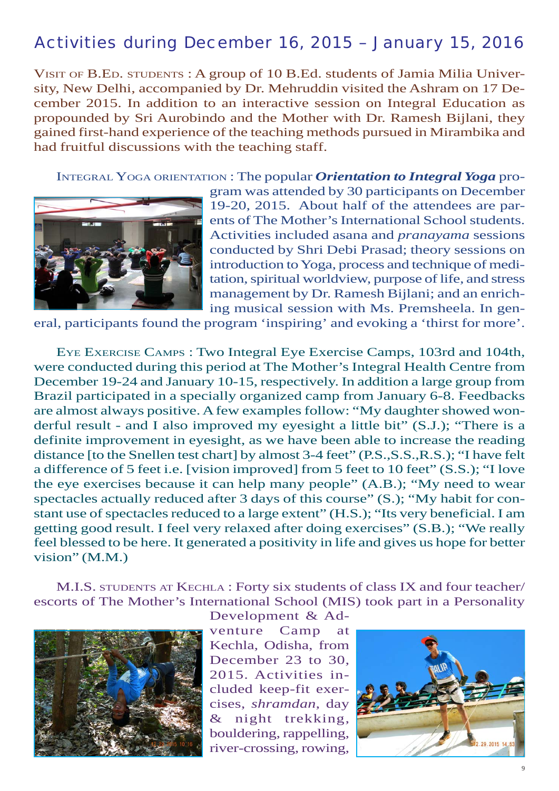## Activities during December 16, 2015 – January 15, 2016

VISIT OF B.ED. STUDENTS : A group of 10 B.Ed. students of Jamia Milia University, New Delhi, accompanied by Dr. Mehruddin visited the Ashram on 17 December 2015. In addition to an interactive session on Integral Education as propounded by Sri Aurobindo and the Mother with Dr. Ramesh Bijlani, they gained first-hand experience of the teaching methods pursued in Mirambika and had fruitful discussions with the teaching staff.

INTEGRAL YOGA ORIENTATION : The popular *Orientation to Integral Yoga* pro-



gram was attended by 30 participants on December 19-20, 2015. About half of the attendees are parents of The Mother's International School students. Activities included asana and *pranayama* sessions conducted by Shri Debi Prasad; theory sessions on introduction to Yoga, process and technique of meditation, spiritual worldview, purpose of life, and stress management by Dr. Ramesh Bijlani; and an enriching musical session with Ms. Premsheela. In gen-

eral, participants found the program 'inspiring' and evoking a 'thirst for more'.

EYE EXERCISE CAMPS : Two Integral Eye Exercise Camps, 103rd and 104th, were conducted during this period at The Mother's Integral Health Centre from December 19-24 and January 10-15, respectively. In addition a large group from Brazil participated in a specially organized camp from January 6-8. Feedbacks are almost always positive. A few examples follow: "My daughter showed wonderful result - and I also improved my eyesight a little bit" (S.J.); "There is a definite improvement in eyesight, as we have been able to increase the reading distance [to the Snellen test chart] by almost 3-4 feet" (P.S.,S.S.,R.S.); "I have felt a difference of 5 feet i.e. [vision improved] from 5 feet to 10 feet" (S.S.); "I love the eye exercises because it can help many people" (A.B.); "My need to wear spectacles actually reduced after 3 days of this course" (S.); "My habit for constant use of spectacles reduced to a large extent" (H.S.); "Its very beneficial. I am getting good result. I feel very relaxed after doing exercises" (S.B.); "We really feel blessed to be here. It generated a positivity in life and gives us hope for better vision" (M.M.)

M.I.S. STUDENTS AT KECHLA : Forty six students of class IX and four teacher/ escorts of The Mother's International School (MIS) took part in a Personality

Development & Ad-



venture Camp at Kechla, Odisha, from December 23 to 30, 2015. Activities included keep-fit exercises, *shramdan*, day & night trekking, bouldering, rappelling, river-crossing, rowing,

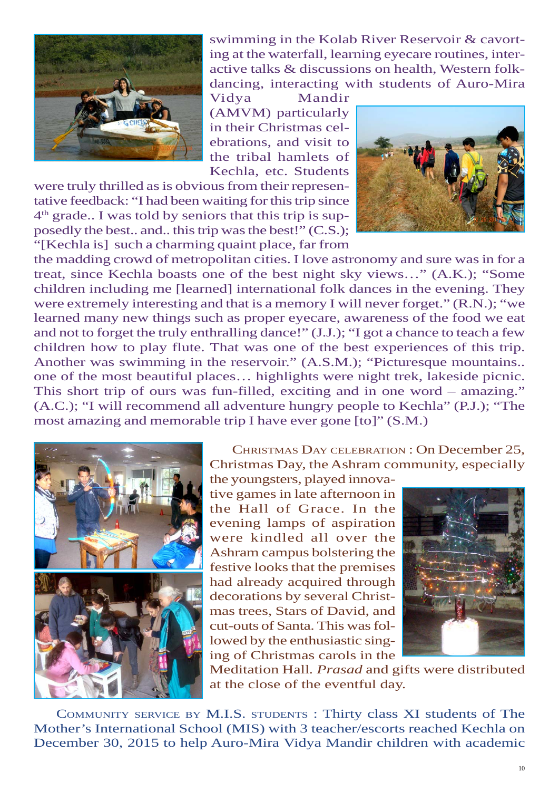

swimming in the Kolab River Reservoir & cavorting at the waterfall, learning eyecare routines, interactive talks & discussions on health, Western folkdancing, interacting with students of Auro-Mira

Vidya Mandir (AMVM) particularly in their Christmas celebrations, and visit to the tribal hamlets of Kechla, etc. Students

were truly thrilled as is obvious from their representative feedback: "I had been waiting for this trip since 4th grade.. I was told by seniors that this trip is supposedly the best.. and.. this trip was the best!" (C.S.); "[Kechla is] such a charming quaint place, far from



the madding crowd of metropolitan cities. I love astronomy and sure was in for a treat, since Kechla boasts one of the best night sky views…" (A.K.); "Some children including me [learned] international folk dances in the evening. They were extremely interesting and that is a memory I will never forget." (R.N.); "we learned many new things such as proper eyecare, awareness of the food we eat and not to forget the truly enthralling dance!" (J.J.); "I got a chance to teach a few children how to play flute. That was one of the best experiences of this trip. Another was swimming in the reservoir." (A.S.M.); "Picturesque mountains.. one of the most beautiful places… highlights were night trek, lakeside picnic. This short trip of ours was fun-filled, exciting and in one word – amazing." (A.C.); "I will recommend all adventure hungry people to Kechla" (P.J.); "The most amazing and memorable trip I have ever gone [to]" (S.M.)



CHRISTMAS DAY CELEBRATION : On December 25, Christmas Day, the Ashram community, especially

the youngsters, played innovative games in late afternoon in the Hall of Grace. In the evening lamps of aspiration were kindled all over the Ashram campus bolstering the festive looks that the premises had already acquired through decorations by several Christmas trees, Stars of David, and cut-outs of Santa. This was followed by the enthusiastic singing of Christmas carols in the



Meditation Hall*. Prasad* and gifts were distributed at the close of the eventful day.

COMMUNITY SERVICE BY M.I.S. STUDENTS : Thirty class XI students of The Mother's International School (MIS) with 3 teacher/escorts reached Kechla on December 30, 2015 to help Auro-Mira Vidya Mandir children with academic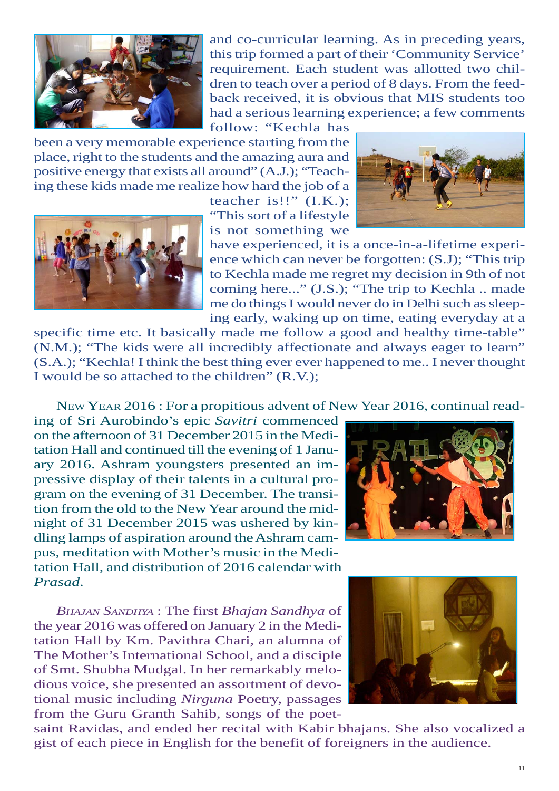

and co-curricular learning. As in preceding years, this trip formed a part of their 'Community Service' requirement. Each student was allotted two children to teach over a period of 8 days. From the feedback received, it is obvious that MIS students too had a serious learning experience; a few comments follow: "Kechla has

been a very memorable experience starting from the place, right to the students and the amazing aura and positive energy that exists all around" (A.J.); "Teaching these kids made me realize how hard the job of a



teacher is!!" (I.K.); "This sort of a lifestyle is not something we



have experienced, it is a once-in-a-lifetime experience which can never be forgotten: (S.J); "This trip to Kechla made me regret my decision in 9th of not coming here..." (J.S.); "The trip to Kechla .. made me do things I would never do in Delhi such as sleeping early, waking up on time, eating everyday at a

specific time etc. It basically made me follow a good and healthy time-table" (N.M.); "The kids were all incredibly affectionate and always eager to learn" (S.A.); "Kechla! I think the best thing ever ever happened to me.. I never thought I would be so attached to the children" (R.V.);

NEW YEAR 2016 : For a propitious advent of New Year 2016, continual read-

ing of Sri Aurobindo's epic *Savitri* commenced on the afternoon of 31 December 2015 in the Meditation Hall and continued till the evening of 1 January 2016. Ashram youngsters presented an impressive display of their talents in a cultural program on the evening of 31 December. The transition from the old to the New Year around the midnight of 31 December 2015 was ushered by kindling lamps of aspiration around the Ashram campus, meditation with Mother's music in the Meditation Hall, and distribution of 2016 calendar with *Prasad*.

*BHAJAN SANDHYA* : The first *Bhajan Sandhya* of the year 2016 was offered on January 2 in the Meditation Hall by Km. Pavithra Chari, an alumna of The Mother's International School, and a disciple of Smt. Shubha Mudgal. In her remarkably melodious voice, she presented an assortment of devotional music including *Nirguna* Poetry, passages from the Guru Granth Sahib, songs of the poet-





saint Ravidas, and ended her recital with Kabir bhajans. She also vocalized a gist of each piece in English for the benefit of foreigners in the audience.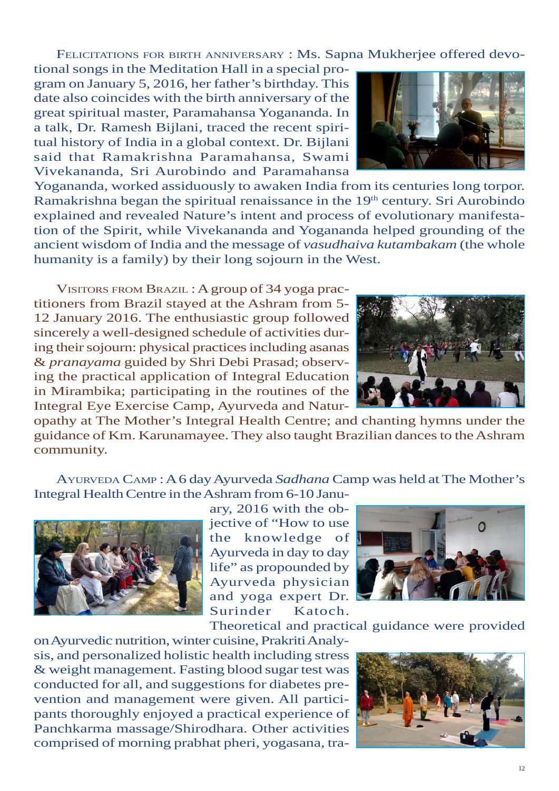12

FELICITATIONS FOR BIRTH ANNIVERSARY : Ms. Sapna Mukherjee offered devo-

tional songs in the Meditation Hall in a special program on January 5, 2016, her father's birthday. This date also coincides with the birth anniversary of the great spiritual master, Paramahansa Yogananda. In a talk, Dr. Ramesh Bijlani, traced the recent spiritual history of India in a global context. Dr. Bijlani said that Ramakrishna Paramahansa, Swami Vivekananda, Sri Aurobindo and Paramahansa

Yogananda, worked assiduously to awaken India from its centuries long torpor. Ramakrishna began the spiritual renaissance in the 19<sup>th</sup> century. Sri Aurobindo explained and revealed Nature's intent and process of evolutionary manifestation of the Spirit, while Vivekananda and Yogananda helped grounding of the ancient wisdom of India and the message of *vasudhaiva kutambakam* (the whole humanity is a family) by their long sojourn in the West.

VISITORS FROM BRAZIL : A group of 34 yoga practitioners from Brazil stayed at the Ashram from 5- 12 January 2016. The enthusiastic group followed sincerely a well-designed schedule of activities during their sojourn: physical practices including asanas & *pranayama* guided by Shri Debi Prasad; observing the practical application of Integral Education in Mirambika; participating in the routines of the Integral Eye Exercise Camp, Ayurveda and Natur-

opathy at The Mother's Integral Health Centre; and chanting hymns under the guidance of Km. Karunamayee. They also taught Brazilian dances to the Ashram community.

AYURVEDA CAMP : A 6 day Ayurveda *Sadhana* Camp was held at The Mother's Integral Health Centre in the Ashram from 6-10 Janu-

ary, 2016 with the objective of "How to use the knowledge of Ayurveda in day to day life" as propounded by Ayurveda physician and yoga expert Dr. Surinder Katoch.

Theoretical and practical guidance were provided

on Ayurvedic nutrition, winter cuisine, Prakriti Analysis, and personalized holistic health including stress & weight management. Fasting blood sugar test was conducted for all, and suggestions for diabetes prevention and management were given. All participants thoroughly enjoyed a practical experience of Panchkarma massage/Shirodhara. Other activities comprised of morning prabhat pheri, yogasana, tra-







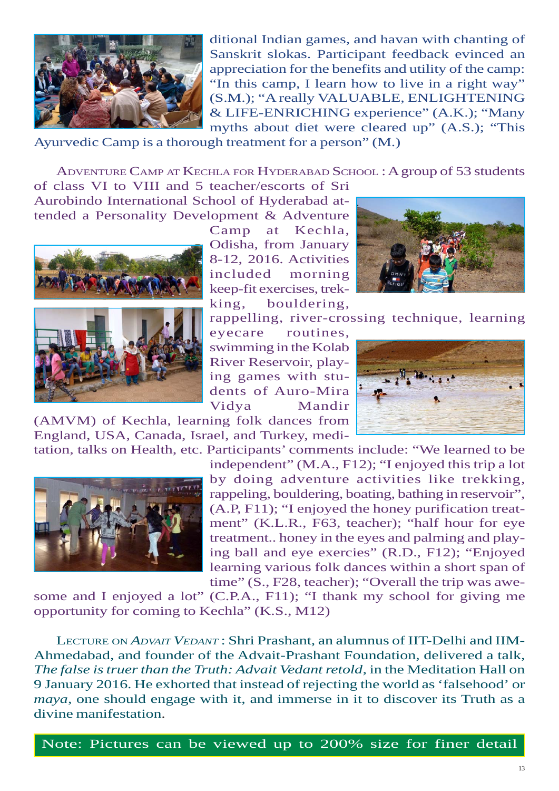

ditional Indian games, and havan with chanting of Sanskrit slokas. Participant feedback evinced an appreciation for the benefits and utility of the camp: "In this camp, I learn how to live in a right way" (S.M.); "A really VALUABLE, ENLIGHTENING & LIFE-ENRICHING experience" (A.K.); "Many myths about diet were cleared up" (A.S.); "This

Ayurvedic Camp is a thorough treatment for a person" (M.)

ADVENTURE CAMP AT KECHLA FOR HYDERABAD SCHOOL : A group of 53 students

of class VI to VIII and 5 teacher/escorts of Sri Aurobindo International School of Hyderabad attended a Personality Development & Adventure



Camp at Kechla, Odisha, from January 8-12, 2016. Activities included morning keep-fit exercises, trekking, bouldering,



rappelling, river-crossing technique, learning

eyecare routines, swimming in the Kolab River Reservoir, playing games with students of Auro-Mira Vidya Mandir

(AMVM) of Kechla, learning folk dances from England, USA, Canada, Israel, and Turkey, medi-



tation, talks on Health, etc. Participants' comments include: "We learned to be independent" (M.A., F12); "I enjoyed this trip a lot by doing adventure activities like trekking, rappeling, bouldering, boating, bathing in reservoir", (A.P, F11); "I enjoyed the honey purification treatment" (K.L.R., F63, teacher); "half hour for eye treatment.. honey in the eyes and palming and playing ball and eye exercies" (R.D., F12); "Enjoyed learning various folk dances within a short span of time" (S., F28, teacher); "Overall the trip was awe-

some and I enjoyed a lot" (C.P.A., F11); "I thank my school for giving me opportunity for coming to Kechla" (K.S., M12)

LECTURE ON *ADVAIT VEDANT* : Shri Prashant, an alumnus of IIT-Delhi and IIM-Ahmedabad, and founder of the Advait-Prashant Foundation, delivered a talk, *The false is truer than the Truth: Advait Vedant retold*, in the Meditation Hall on 9 January 2016. He exhorted that instead of rejecting the world as 'falsehood' or *maya*, one should engage with it, and immerse in it to discover its Truth as a divine manifestation.

Note: Pictures can be viewed up to 200% size for finer detail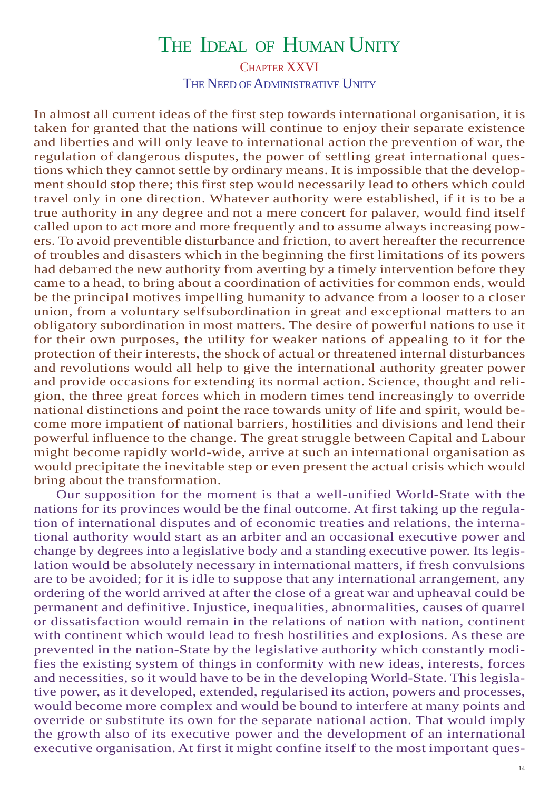## THE IDEAL OF HUMAN UNITY

CHAPTER XXVI THE NEED OF ADMINISTRATIVE UNITY

In almost all current ideas of the first step towards international organisation, it is taken for granted that the nations will continue to enjoy their separate existence and liberties and will only leave to international action the prevention of war, the regulation of dangerous disputes, the power of settling great international questions which they cannot settle by ordinary means. It is impossible that the development should stop there; this first step would necessarily lead to others which could travel only in one direction. Whatever authority were established, if it is to be a true authority in any degree and not a mere concert for palaver, would find itself called upon to act more and more frequently and to assume always increasing powers. To avoid preventible disturbance and friction, to avert hereafter the recurrence of troubles and disasters which in the beginning the first limitations of its powers had debarred the new authority from averting by a timely intervention before they came to a head, to bring about a coordination of activities for common ends, would be the principal motives impelling humanity to advance from a looser to a closer union, from a voluntary selfsubordination in great and exceptional matters to an obligatory subordination in most matters. The desire of powerful nations to use it for their own purposes, the utility for weaker nations of appealing to it for the protection of their interests, the shock of actual or threatened internal disturbances and revolutions would all help to give the international authority greater power and provide occasions for extending its normal action. Science, thought and religion, the three great forces which in modern times tend increasingly to override national distinctions and point the race towards unity of life and spirit, would become more impatient of national barriers, hostilities and divisions and lend their powerful influence to the change. The great struggle between Capital and Labour might become rapidly world-wide, arrive at such an international organisation as would precipitate the inevitable step or even present the actual crisis which would bring about the transformation.

Our supposition for the moment is that a well-unified World-State with the nations for its provinces would be the final outcome. At first taking up the regulation of international disputes and of economic treaties and relations, the international authority would start as an arbiter and an occasional executive power and change by degrees into a legislative body and a standing executive power. Its legislation would be absolutely necessary in international matters, if fresh convulsions are to be avoided; for it is idle to suppose that any international arrangement, any ordering of the world arrived at after the close of a great war and upheaval could be permanent and definitive. Injustice, inequalities, abnormalities, causes of quarrel or dissatisfaction would remain in the relations of nation with nation, continent with continent which would lead to fresh hostilities and explosions. As these are prevented in the nation-State by the legislative authority which constantly modifies the existing system of things in conformity with new ideas, interests, forces and necessities, so it would have to be in the developing World-State. This legislative power, as it developed, extended, regularised its action, powers and processes, would become more complex and would be bound to interfere at many points and override or substitute its own for the separate national action. That would imply the growth also of its executive power and the development of an international executive organisation. At first it might confine itself to the most important ques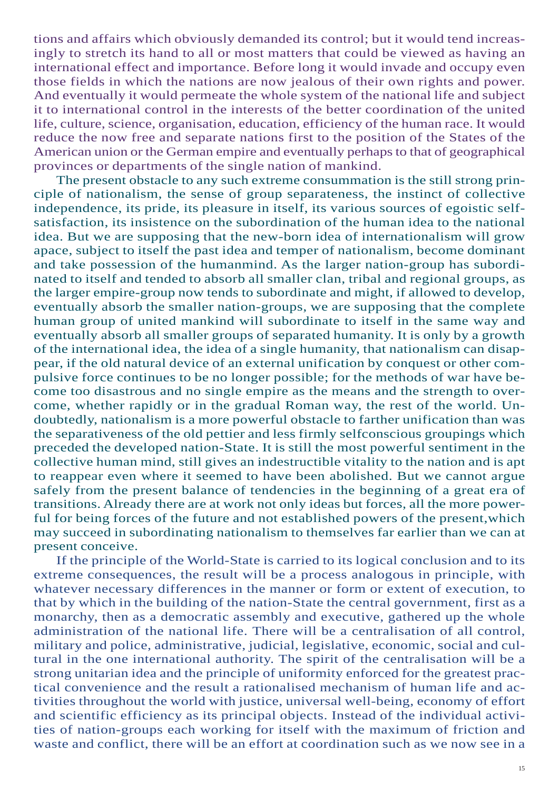tions and affairs which obviously demanded its control; but it would tend increasingly to stretch its hand to all or most matters that could be viewed as having an international effect and importance. Before long it would invade and occupy even those fields in which the nations are now jealous of their own rights and power. And eventually it would permeate the whole system of the national life and subject it to international control in the interests of the better coordination of the united life, culture, science, organisation, education, efficiency of the human race. It would reduce the now free and separate nations first to the position of the States of the American union or the German empire and eventually perhaps to that of geographical provinces or departments of the single nation of mankind.

The present obstacle to any such extreme consummation is the still strong principle of nationalism, the sense of group separateness, the instinct of collective independence, its pride, its pleasure in itself, its various sources of egoistic selfsatisfaction, its insistence on the subordination of the human idea to the national idea. But we are supposing that the new-born idea of internationalism will grow apace, subject to itself the past idea and temper of nationalism, become dominant and take possession of the humanmind. As the larger nation-group has subordinated to itself and tended to absorb all smaller clan, tribal and regional groups, as the larger empire-group now tends to subordinate and might, if allowed to develop, eventually absorb the smaller nation-groups, we are supposing that the complete human group of united mankind will subordinate to itself in the same way and eventually absorb all smaller groups of separated humanity. It is only by a growth of the international idea, the idea of a single humanity, that nationalism can disappear, if the old natural device of an external unification by conquest or other compulsive force continues to be no longer possible; for the methods of war have become too disastrous and no single empire as the means and the strength to overcome, whether rapidly or in the gradual Roman way, the rest of the world. Undoubtedly, nationalism is a more powerful obstacle to farther unification than was the separativeness of the old pettier and less firmly selfconscious groupings which preceded the developed nation-State. It is still the most powerful sentiment in the collective human mind, still gives an indestructible vitality to the nation and is apt to reappear even where it seemed to have been abolished. But we cannot argue safely from the present balance of tendencies in the beginning of a great era of transitions. Already there are at work not only ideas but forces, all the more powerful for being forces of the future and not established powers of the present,which may succeed in subordinating nationalism to themselves far earlier than we can at present conceive.

If the principle of the World-State is carried to its logical conclusion and to its extreme consequences, the result will be a process analogous in principle, with whatever necessary differences in the manner or form or extent of execution, to that by which in the building of the nation-State the central government, first as a monarchy, then as a democratic assembly and executive, gathered up the whole administration of the national life. There will be a centralisation of all control, military and police, administrative, judicial, legislative, economic, social and cultural in the one international authority. The spirit of the centralisation will be a strong unitarian idea and the principle of uniformity enforced for the greatest practical convenience and the result a rationalised mechanism of human life and activities throughout the world with justice, universal well-being, economy of effort and scientific efficiency as its principal objects. Instead of the individual activities of nation-groups each working for itself with the maximum of friction and waste and conflict, there will be an effort at coordination such as we now see in a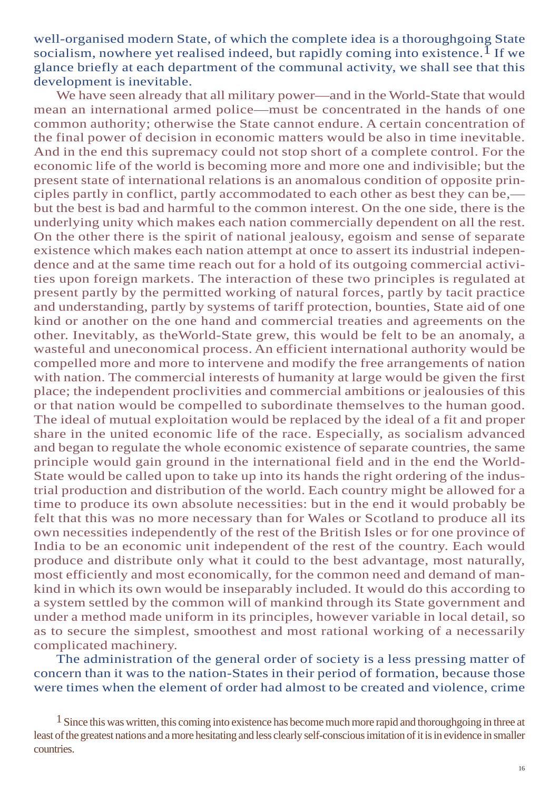well-organised modern State, of which the complete idea is a thoroughgoing State socialism, nowhere yet realised indeed, but rapidly coming into existence.<sup> $I$ </sup> If we glance briefly at each department of the communal activity, we shall see that this development is inevitable.

We have seen already that all military power—and in the World-State that would mean an international armed police—must be concentrated in the hands of one common authority; otherwise the State cannot endure. A certain concentration of the final power of decision in economic matters would be also in time inevitable. And in the end this supremacy could not stop short of a complete control. For the economic life of the world is becoming more and more one and indivisible; but the present state of international relations is an anomalous condition of opposite principles partly in conflict, partly accommodated to each other as best they can be, but the best is bad and harmful to the common interest. On the one side, there is the underlying unity which makes each nation commercially dependent on all the rest. On the other there is the spirit of national jealousy, egoism and sense of separate existence which makes each nation attempt at once to assert its industrial independence and at the same time reach out for a hold of its outgoing commercial activities upon foreign markets. The interaction of these two principles is regulated at present partly by the permitted working of natural forces, partly by tacit practice and understanding, partly by systems of tariff protection, bounties, State aid of one kind or another on the one hand and commercial treaties and agreements on the other. Inevitably, as theWorld-State grew, this would be felt to be an anomaly, a wasteful and uneconomical process. An efficient international authority would be compelled more and more to intervene and modify the free arrangements of nation with nation. The commercial interests of humanity at large would be given the first place; the independent proclivities and commercial ambitions or jealousies of this or that nation would be compelled to subordinate themselves to the human good. The ideal of mutual exploitation would be replaced by the ideal of a fit and proper share in the united economic life of the race. Especially, as socialism advanced and began to regulate the whole economic existence of separate countries, the same principle would gain ground in the international field and in the end the World-State would be called upon to take up into its hands the right ordering of the industrial production and distribution of the world. Each country might be allowed for a time to produce its own absolute necessities: but in the end it would probably be felt that this was no more necessary than for Wales or Scotland to produce all its own necessities independently of the rest of the British Isles or for one province of India to be an economic unit independent of the rest of the country. Each would produce and distribute only what it could to the best advantage, most naturally, most efficiently and most economically, for the common need and demand of mankind in which its own would be inseparably included. It would do this according to a system settled by the common will of mankind through its State government and under a method made uniform in its principles, however variable in local detail, so as to secure the simplest, smoothest and most rational working of a necessarily complicated machinery.

The administration of the general order of society is a less pressing matter of concern than it was to the nation-States in their period of formation, because those were times when the element of order had almost to be created and violence, crime

<sup>&</sup>lt;sup>1</sup> Since this was written, this coming into existence has become much more rapid and thoroughgoing in three at least of the greatest nations and a more hesitating and less clearly self-conscious imitation of it is in evidence in smaller countries.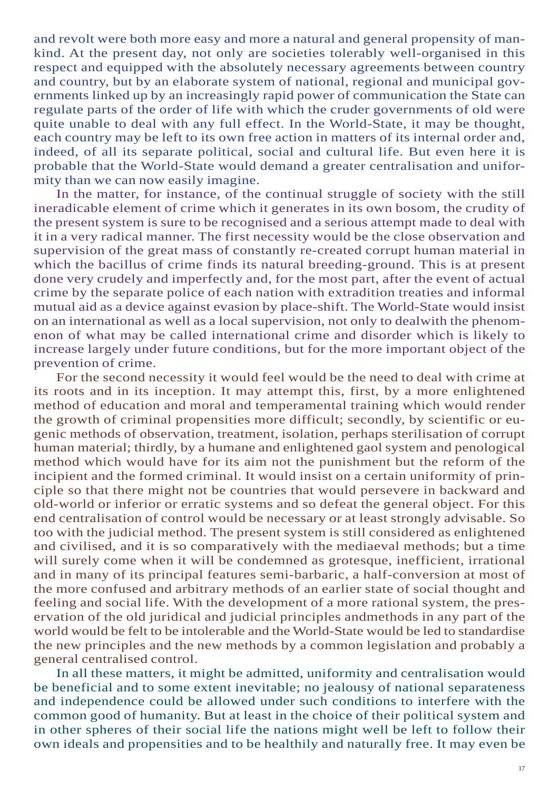and revolt were both more easy and more a natural and general propensity of mankind. At the present day, not only are societies tolerably well-organised in this respect and equipped with the absolutely necessary agreements between country and country, but by an elaborate system of national, regional and municipal governments linked up by an increasingly rapid power of communication the State can regulate parts of the order of life with which the cruder governments of old were quite unable to deal with any full effect. In the World-State, it may be thought, each country may be left to its own free action in matters of its internal order and, indeed, of all its separate political, social and cultural life. But even here it is probable that the World-State would demand a greater centralisation and uniformity than we can now easily imagine.

In the matter, for instance, of the continual struggle of society with the still ineradicable element of crime which it generates in its own bosom, the crudity of the present system is sure to be recognised and a serious attempt made to deal with it in a very radical manner. The first necessity would be the close observation and supervision of the great mass of constantly re-created corrupt human material in which the bacillus of crime finds its natural breeding-ground. This is at present done very crudely and imperfectly and, for the most part, after the event of actual crime by the separate police of each nation with extradition treaties and informal mutual aid as a device against evasion by place-shift. The World-State would insist on an international as well as a local supervision, not only to dealwith the phenomenon of what may be called international crime and disorder which is likely to increase largely under future conditions, but for the more important object of the prevention of crime.

For the second necessity it would feel would be the need to deal with crime at its roots and in its inception. It may attempt this, first, by a more enlightened method of education and moral and temperamental training which would render the growth of criminal propensities more difficult; secondly, by scientific or eugenic methods of observation, treatment, isolation, perhaps sterilisation of corrupt human material; thirdly, by a humane and enlightened gaol system and penological method which would have for its aim not the punishment but the reform of the incipient and the formed criminal. It would insist on a certain uniformity of principle so that there might not be countries that would persevere in backward and old-world or inferior or erratic systems and so defeat the general object. For this end centralisation of control would be necessary or at least strongly advisable. So too with the judicial method. The present system is still considered as enlightened and civilised, and it is so comparatively with the mediaeval methods; but a time will surely come when it will be condemned as grotesque, inefficient, irrational and in many of its principal features semi-barbaric, a half-conversion at most of the more confused and arbitrary methods of an earlier state of social thought and feeling and social life. With the development of a more rational system, the preservation of the old juridical and judicial principles andmethods in any part of the world would be felt to be intolerable and the World-State would be led to standardise the new principles and the new methods by a common legislation and probably a general centralised control.

In all these matters, it might be admitted, uniformity and centralisation would be beneficial and to some extent inevitable; no jealousy of national separateness and independence could be allowed under such conditions to interfere with the common good of humanity. But at least in the choice of their political system and in other spheres of their social life the nations might well be left to follow their own ideals and propensities and to be healthily and naturally free. It may even be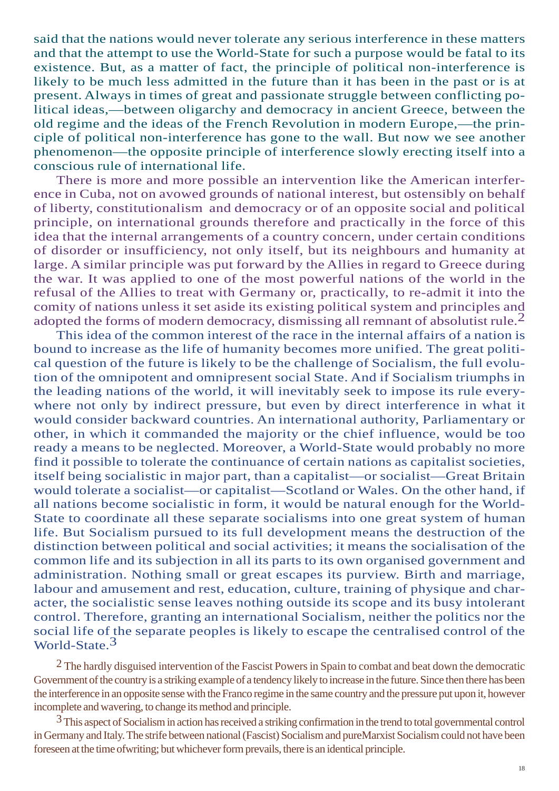said that the nations would never tolerate any serious interference in these matters and that the attempt to use the World-State for such a purpose would be fatal to its existence. But, as a matter of fact, the principle of political non-interference is likely to be much less admitted in the future than it has been in the past or is at present. Always in times of great and passionate struggle between conflicting political ideas,—between oligarchy and democracy in ancient Greece, between the old regime and the ideas of the French Revolution in modern Europe,—the principle of political non-interference has gone to the wall. But now we see another phenomenon—the opposite principle of interference slowly erecting itself into a conscious rule of international life.

There is more and more possible an intervention like the American interference in Cuba, not on avowed grounds of national interest, but ostensibly on behalf of liberty, constitutionalism and democracy or of an opposite social and political principle, on international grounds therefore and practically in the force of this idea that the internal arrangements of a country concern, under certain conditions of disorder or insufficiency, not only itself, but its neighbours and humanity at large. A similar principle was put forward by the Allies in regard to Greece during the war. It was applied to one of the most powerful nations of the world in the refusal of the Allies to treat with Germany or, practically, to re-admit it into the comity of nations unless it set aside its existing political system and principles and adopted the forms of modern democracy, dismissing all remnant of absolutist rule.<sup>2</sup>

This idea of the common interest of the race in the internal affairs of a nation is bound to increase as the life of humanity becomes more unified. The great political question of the future is likely to be the challenge of Socialism, the full evolution of the omnipotent and omnipresent social State. And if Socialism triumphs in the leading nations of the world, it will inevitably seek to impose its rule everywhere not only by indirect pressure, but even by direct interference in what it would consider backward countries. An international authority, Parliamentary or other, in which it commanded the majority or the chief influence, would be too ready a means to be neglected. Moreover, a World-State would probably no more find it possible to tolerate the continuance of certain nations as capitalist societies, itself being socialistic in major part, than a capitalist—or socialist—Great Britain would tolerate a socialist—or capitalist—Scotland or Wales. On the other hand, if all nations become socialistic in form, it would be natural enough for the World-State to coordinate all these separate socialisms into one great system of human life. But Socialism pursued to its full development means the destruction of the distinction between political and social activities; it means the socialisation of the common life and its subjection in all its parts to its own organised government and administration. Nothing small or great escapes its purview. Birth and marriage, labour and amusement and rest, education, culture, training of physique and character, the socialistic sense leaves nothing outside its scope and its busy intolerant control. Therefore, granting an international Socialism, neither the politics nor the social life of the separate peoples is likely to escape the centralised control of the World-State.<sup>3</sup>

<sup>2</sup> The hardly disguised intervention of the Fascist Powers in Spain to combat and beat down the democratic Government of the country is a striking example of a tendency likely to increase in the future. Since then there has been the interference in an opposite sense with the Franco regime in the same country and the pressure put upon it, however incomplete and wavering, to change its method and principle.

3 This aspect of Socialism in action has received a striking confirmation in the trend to total governmental control in Germany and Italy. The strife between national (Fascist) Socialism and pureMarxist Socialism could not have been foreseen at the time ofwriting; but whichever form prevails, there is an identical principle.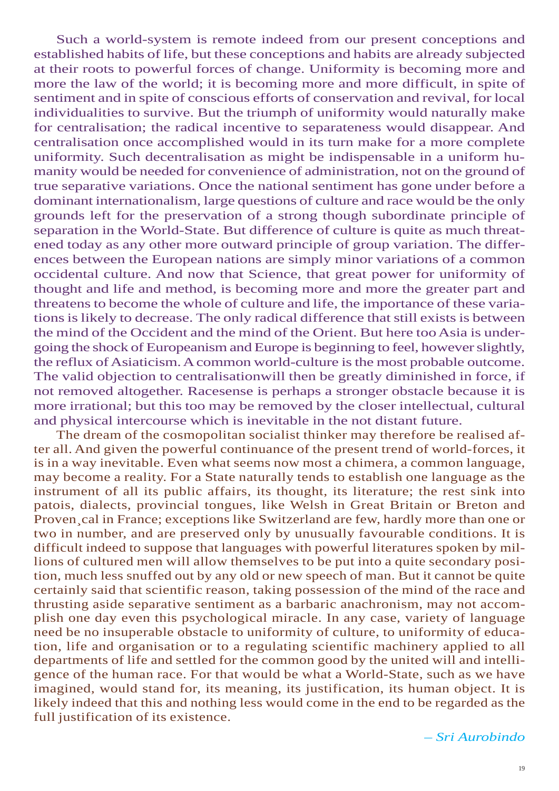Such a world-system is remote indeed from our present conceptions and established habits of life, but these conceptions and habits are already subjected at their roots to powerful forces of change. Uniformity is becoming more and more the law of the world; it is becoming more and more difficult, in spite of sentiment and in spite of conscious efforts of conservation and revival, for local individualities to survive. But the triumph of uniformity would naturally make for centralisation; the radical incentive to separateness would disappear. And centralisation once accomplished would in its turn make for a more complete uniformity. Such decentralisation as might be indispensable in a uniform humanity would be needed for convenience of administration, not on the ground of true separative variations. Once the national sentiment has gone under before a dominant internationalism, large questions of culture and race would be the only grounds left for the preservation of a strong though subordinate principle of separation in the World-State. But difference of culture is quite as much threatened today as any other more outward principle of group variation. The differences between the European nations are simply minor variations of a common occidental culture. And now that Science, that great power for uniformity of thought and life and method, is becoming more and more the greater part and threatens to become the whole of culture and life, the importance of these variations is likely to decrease. The only radical difference that still exists is between the mind of the Occident and the mind of the Orient. But here too Asia is undergoing the shock of Europeanism and Europe is beginning to feel, however slightly, the reflux of Asiaticism. A common world-culture is the most probable outcome. The valid objection to centralisationwill then be greatly diminished in force, if not removed altogether. Racesense is perhaps a stronger obstacle because it is more irrational; but this too may be removed by the closer intellectual, cultural and physical intercourse which is inevitable in the not distant future.

The dream of the cosmopolitan socialist thinker may therefore be realised after all. And given the powerful continuance of the present trend of world-forces, it is in a way inevitable. Even what seems now most a chimera, a common language, may become a reality. For a State naturally tends to establish one language as the instrument of all its public affairs, its thought, its literature; the rest sink into patois, dialects, provincial tongues, like Welsh in Great Britain or Breton and Proven¸cal in France; exceptions like Switzerland are few, hardly more than one or two in number, and are preserved only by unusually favourable conditions. It is difficult indeed to suppose that languages with powerful literatures spoken by millions of cultured men will allow themselves to be put into a quite secondary position, much less snuffed out by any old or new speech of man. But it cannot be quite certainly said that scientific reason, taking possession of the mind of the race and thrusting aside separative sentiment as a barbaric anachronism, may not accomplish one day even this psychological miracle. In any case, variety of language need be no insuperable obstacle to uniformity of culture, to uniformity of education, life and organisation or to a regulating scientific machinery applied to all departments of life and settled for the common good by the united will and intelligence of the human race. For that would be what a World-State, such as we have imagined, would stand for, its meaning, its justification, its human object. It is likely indeed that this and nothing less would come in the end to be regarded as the full justification of its existence.

– *Sri Aurobindo*